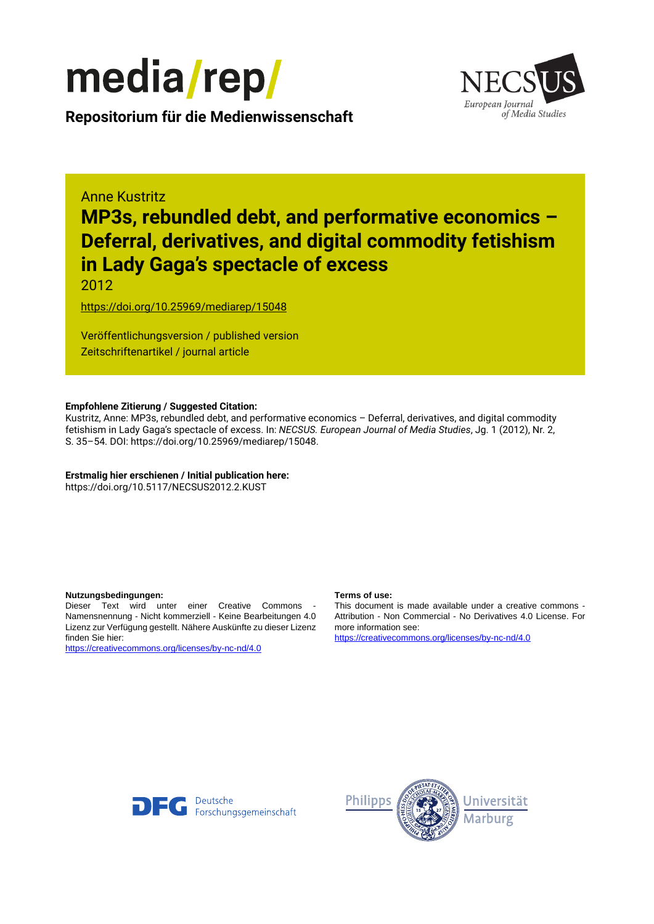

**Repositorium für die [Medienwissenschaft](https://mediarep.org)**



# Anne Kustritz

# **MP3s, rebundled debt, and performative economics – Deferral, derivatives, and digital commodity fetishism in Lady Gaga's spectacle of excess**

2012

<https://doi.org/10.25969/mediarep/15048>

Veröffentlichungsversion / published version Zeitschriftenartikel / journal article

#### **Empfohlene Zitierung / Suggested Citation:**

Kustritz, Anne: MP3s, rebundled debt, and performative economics – Deferral, derivatives, and digital commodity fetishism in Lady Gaga's spectacle of excess. In: *NECSUS. European Journal of Media Studies*, Jg. 1 (2012), Nr. 2, S. 35–54. DOI: https://doi.org/10.25969/mediarep/15048.

#### **Erstmalig hier erschienen / Initial publication here:**

https://doi.org/10.5117/NECSUS2012.2.KUST

#### **Nutzungsbedingungen: Terms of use:**

Dieser Text wird unter einer Creative Commons - Namensnennung - Nicht kommerziell - Keine Bearbeitungen 4.0 Lizenz zur Verfügung gestellt. Nähere Auskünfte zu dieser Lizenz finden Sie hier:

<https://creativecommons.org/licenses/by-nc-nd/4.0>

This document is made available under a creative commons - Attribution - Non Commercial - No Derivatives 4.0 License. For more information see:

<https://creativecommons.org/licenses/by-nc-nd/4.0>



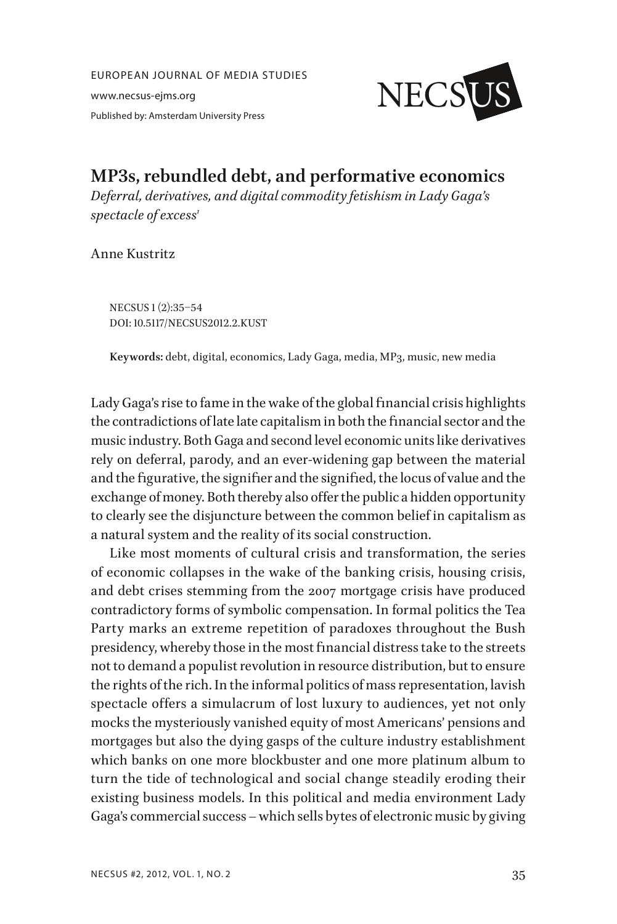EUROPEAN JOURNAL OF MEDIA STUDIES www.necsus-ejms.org Published by: Amsterdam University Press



# **MP3s, rebundled debt, and performative economics**

*Deferral, derivatives, and digital commodity fetishism in Lady Gaga's spectacle of excess1*

Anne Kustritz

NECSUS 1 (2):35–54 DOI: 10.5117/NECSUS2012.2.KUST

**Keywords:** debt, digital, economics, Lady Gaga, media, MP3, music, new media

Lady Gaga's rise to fame in the wake of the global financial crisis highlights the contradictions of late late capitalism in both the financial sector and the music industry. Both Gaga and second level economic units like derivatives rely on deferral, parody, and an ever-widening gap between the material and the figurative, the signifier and the signified, the locus of value and the exchange of money. Both thereby also offer the public a hidden opportunity to clearly see the disjuncture between the common belief in capitalism as a natural system and the reality of its social construction.

Like most moments of cultural crisis and transformation, the series of economic collapses in the wake of the banking crisis, housing crisis, and debt crises stemming from the 2007 mortgage crisis have produced contradictory forms of symbolic compensation. In formal politics the Tea Party marks an extreme repetition of paradoxes throughout the Bush presidency, whereby those in the most financial distress take to the streets not to demand a populist revolution in resource distribution, but to ensure the rights of the rich. In the informal politics of mass representation, lavish spectacle offers a simulacrum of lost luxury to audiences, yet not only mocks the mysteriously vanished equity of most Americans' pensions and mortgages but also the dying gasps of the culture industry establishment which banks on one more blockbuster and one more platinum album to turn the tide of technological and social change steadily eroding their existing business models. In this political and media environment Lady Gaga's commercial success – which sells bytes of electronic music by giving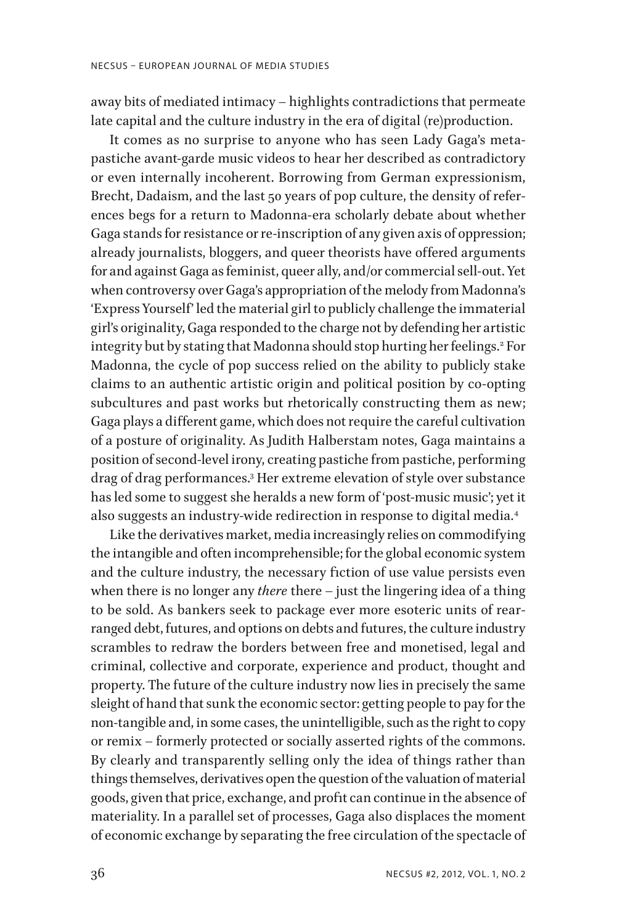away bits of mediated intimacy – highlights contradictions that permeate late capital and the culture industry in the era of digital (re)production.

It comes as no surprise to anyone who has seen Lady Gaga's metapastiche avant-garde music videos to hear her described as contradictory or even internally incoherent. Borrowing from German expressionism, Brecht, Dadaism, and the last 50 years of pop culture, the density of references begs for a return to Madonna-era scholarly debate about whether Gaga stands for resistance or re-inscription of any given axis of oppression; already journalists, bloggers, and queer theorists have offered arguments for and against Gaga as feminist, queer ally, and/or commercial sell-out. Yet when controversy over Gaga's appropriation of the melody from Madonna's 'Express Yourself' led the material girl to publicly challenge the immaterial girl's originality, Gaga responded to the charge not by defending her artistic integrity but by stating that Madonna should stop hurting her feelings.<sup>2</sup> For Madonna, the cycle of pop success relied on the ability to publicly stake claims to an authentic artistic origin and political position by co-opting subcultures and past works but rhetorically constructing them as new; Gaga plays a different game, which does not require the careful cultivation of a posture of originality. As Judith Halberstam notes, Gaga maintains a position of second-level irony, creating pastiche from pastiche, performing drag of drag performances.3 Her extreme elevation of style over substance has led some to suggest she heralds a new form of 'post-music music'; yet it also suggests an industry-wide redirection in response to digital media.4

Like the derivatives market, media increasingly relies on commodifying the intangible and often incomprehensible; for the global economic system and the culture industry, the necessary fiction of use value persists even when there is no longer any *there* there – just the lingering idea of a thing to be sold. As bankers seek to package ever more esoteric units of rearranged debt, futures, and options on debts and futures, the culture industry scrambles to redraw the borders between free and monetised, legal and criminal, collective and corporate, experience and product, thought and property. The future of the culture industry now lies in precisely the same sleight of hand that sunk the economic sector: getting people to pay for the non-tangible and, in some cases, the unintelligible, such as the right to copy or remix – formerly protected or socially asserted rights of the commons. By clearly and transparently selling only the idea of things rather than things themselves, derivatives open the question of the valuation of material goods, given that price, exchange, and profit can continue in the absence of materiality. In a parallel set of processes, Gaga also displaces the moment of economic exchange by separating the free circulation of the spectacle of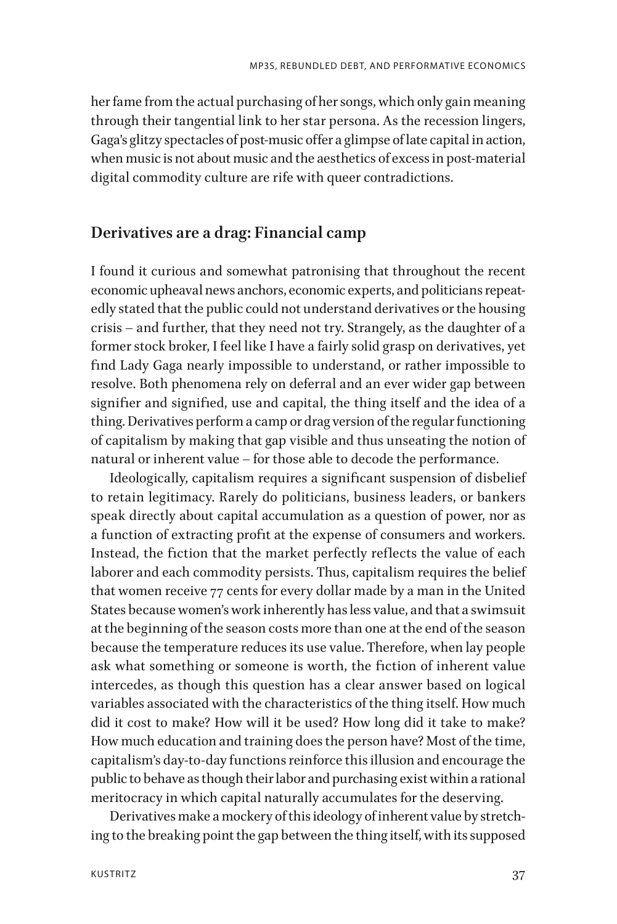her fame from the actual purchasing of her songs, which only gain meaning through their tangential link to her star persona. As the recession lingers, Gaga's glitzy spectacles of post-music offer a glimpse of late capital in action, when music is not about music and the aesthetics of excess in post-material digital commodity culture are rife with queer contradictions.

#### **Derivatives are a drag: Financial camp**

I found it curious and somewhat patronising that throughout the recent economic upheaval news anchors, economic experts, and politicians repeatedly stated that the public could not understand derivatives or the housing crisis – and further, that they need not try. Strangely, as the daughter of a former stock broker, I feel like I have a fairly solid grasp on derivatives, yet find Lady Gaga nearly impossible to understand, or rather impossible to resolve. Both phenomena rely on deferral and an ever wider gap between signifier and signified, use and capital, the thing itself and the idea of a thing. Derivatives perform a camp or drag version of the regular functioning of capitalism by making that gap visible and thus unseating the notion of natural or inherent value – for those able to decode the performance.

Ideologically, capitalism requires a significant suspension of disbelief to retain legitimacy. Rarely do politicians, business leaders, or bankers speak directly about capital accumulation as a question of power, nor as a function of extracting profit at the expense of consumers and workers. Instead, the fiction that the market perfectly reflects the value of each laborer and each commodity persists. Thus, capitalism requires the belief that women receive 77 cents for every dollar made by a man in the United States because women's work inherently has less value, and that a swimsuit at the beginning of the season costs more than one at the end of the season because the temperature reduces its use value. Therefore, when lay people ask what something or someone is worth, the fiction of inherent value intercedes, as though this question has a clear answer based on logical variables associated with the characteristics of the thing itself. How much did it cost to make? How will it be used? How long did it take to make? How much education and training does the person have? Most of the time, capitalism's day-to-day functions reinforce this illusion and encourage the public to behave as though their labor and purchasing exist within a rational meritocracy in which capital naturally accumulates for the deserving.

Derivatives make a mockery of this ideology of inherent value by stretching to the breaking point the gap between the thing itself, with its supposed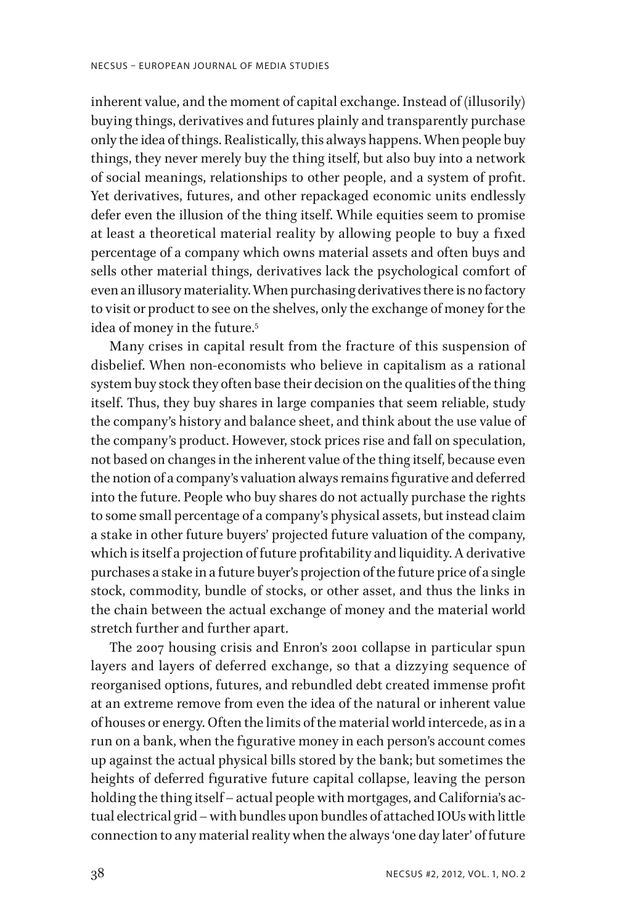inherent value, and the moment of capital exchange. Instead of (illusorily) buying things, derivatives and futures plainly and transparently purchase only the idea of things. Realistically, this always happens. When people buy things, they never merely buy the thing itself, but also buy into a network of social meanings, relationships to other people, and a system of profit. Yet derivatives, futures, and other repackaged economic units endlessly defer even the illusion of the thing itself. While equities seem to promise at least a theoretical material reality by allowing people to buy a fixed percentage of a company which owns material assets and often buys and sells other material things, derivatives lack the psychological comfort of even an illusory materiality. When purchasing derivatives there is no factory to visit or product to see on the shelves, only the exchange of money for the idea of money in the future.<sup>5</sup>

Many crises in capital result from the fracture of this suspension of disbelief. When non-economists who believe in capitalism as a rational system buy stock they often base their decision on the qualities of the thing itself. Thus, they buy shares in large companies that seem reliable, study the company's history and balance sheet, and think about the use value of the company's product. However, stock prices rise and fall on speculation, not based on changes in the inherent value of the thing itself, because even the notion of a company's valuation always remains figurative and deferred into the future. People who buy shares do not actually purchase the rights to some small percentage of a company's physical assets, but instead claim a stake in other future buyers' projected future valuation of the company, which is itself a projection of future profitability and liquidity. A derivative purchases a stake in a future buyer's projection of the future price of a single stock, commodity, bundle of stocks, or other asset, and thus the links in the chain between the actual exchange of money and the material world stretch further and further apart.

The 2007 housing crisis and Enron's 2001 collapse in particular spun layers and layers of deferred exchange, so that a dizzying sequence of reorganised options, futures, and rebundled debt created immense profit at an extreme remove from even the idea of the natural or inherent value of houses or energy. Often the limits of the material world intercede, as in a run on a bank, when the figurative money in each person's account comes up against the actual physical bills stored by the bank; but sometimes the heights of deferred figurative future capital collapse, leaving the person holding the thing itself – actual people with mortgages, and California's actual electrical grid – with bundles upon bundles of attached IOUs with little connection to any material reality when the always 'one day later' of future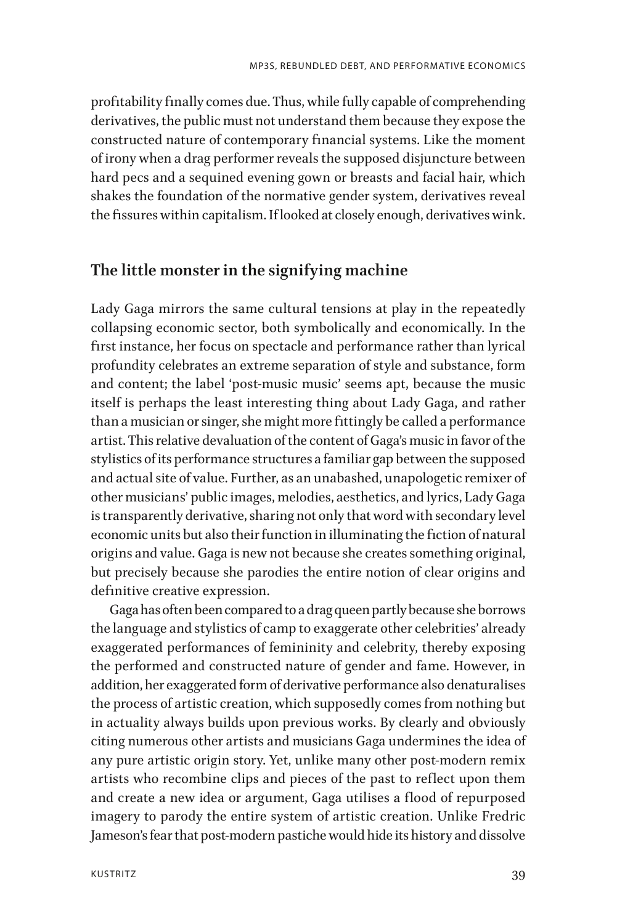profitability finally comes due. Thus, while fully capable of comprehending derivatives, the public must not understand them because they expose the constructed nature of contemporary financial systems. Like the moment of irony when a drag performer reveals the supposed disjuncture between hard pecs and a sequined evening gown or breasts and facial hair, which shakes the foundation of the normative gender system, derivatives reveal the fissures within capitalism. If looked at closely enough, derivatives wink.

#### **The little monster in the signifying machine**

Lady Gaga mirrors the same cultural tensions at play in the repeatedly collapsing economic sector, both symbolically and economically. In the first instance, her focus on spectacle and performance rather than lyrical profundity celebrates an extreme separation of style and substance, form and content; the label 'post-music music' seems apt, because the music itself is perhaps the least interesting thing about Lady Gaga, and rather than a musician or singer, she might more fittingly be called a performance artist. This relative devaluation of the content of Gaga's music in favor of the stylistics of its performance structures a familiar gap between the supposed and actual site of value. Further, as an unabashed, unapologetic remixer of other musicians' public images, melodies, aesthetics, and lyrics, Lady Gaga is transparently derivative, sharing not only that word with secondary level economic units but also their function in illuminating the fiction of natural origins and value. Gaga is new not because she creates something original, but precisely because she parodies the entire notion of clear origins and definitive creative expression.

Gaga has often been compared to a drag queen partly because she borrows the language and stylistics of camp to exaggerate other celebrities' already exaggerated performances of femininity and celebrity, thereby exposing the performed and constructed nature of gender and fame. However, in addition, her exaggerated form of derivative performance also denaturalises the process of artistic creation, which supposedly comes from nothing but in actuality always builds upon previous works. By clearly and obviously citing numerous other artists and musicians Gaga undermines the idea of any pure artistic origin story. Yet, unlike many other post-modern remix artists who recombine clips and pieces of the past to reflect upon them and create a new idea or argument, Gaga utilises a flood of repurposed imagery to parody the entire system of artistic creation. Unlike Fredric Jameson's fear that post-modern pastiche would hide its history and dissolve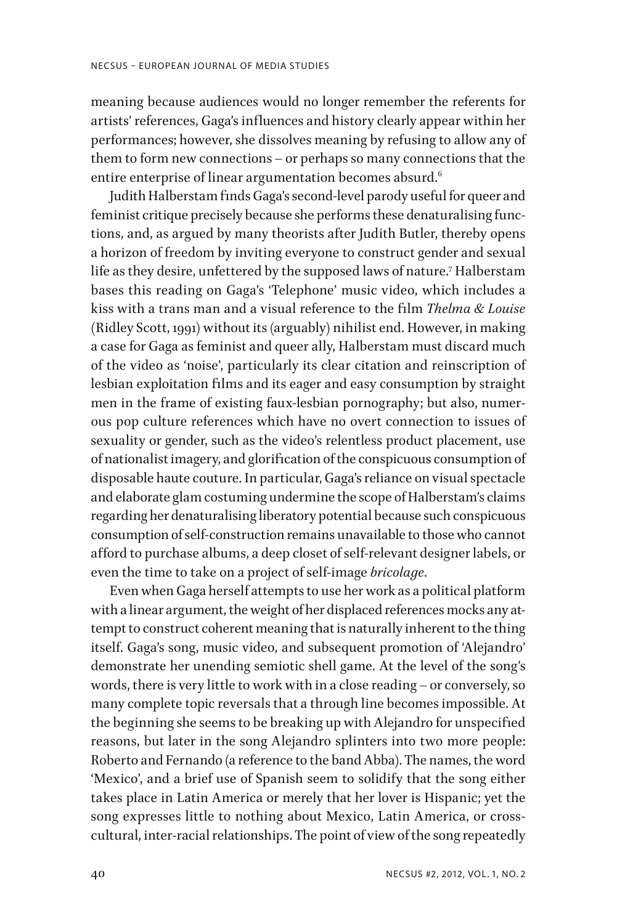meaning because audiences would no longer remember the referents for artists' references, Gaga's influences and history clearly appear within her performances; however, she dissolves meaning by refusing to allow any of them to form new connections – or perhaps so many connections that the entire enterprise of linear argumentation becomes absurd.<sup>6</sup>

Judith Halberstam finds Gaga's second-level parody useful for queer and feminist critique precisely because she performs these denaturalising functions, and, as argued by many theorists after Judith Butler, thereby opens a horizon of freedom by inviting everyone to construct gender and sexual life as they desire, unfettered by the supposed laws of nature.7 Halberstam bases this reading on Gaga's 'Telephone' music video, which includes a kiss with a trans man and a visual reference to the film *Thelma & Louise* (Ridley Scott, 1991) without its (arguably) nihilist end. However, in making a case for Gaga as feminist and queer ally, Halberstam must discard much of the video as 'noise', particularly its clear citation and reinscription of lesbian exploitation films and its eager and easy consumption by straight men in the frame of existing faux-lesbian pornography; but also, numerous pop culture references which have no overt connection to issues of sexuality or gender, such as the video's relentless product placement, use of nationalist imagery, and glorification of the conspicuous consumption of disposable haute couture. In particular, Gaga's reliance on visual spectacle and elaborate glam costuming undermine the scope of Halberstam's claims regarding her denaturalising liberatory potential because such conspicuous consumption of self-construction remains unavailable to those who cannot afford to purchase albums, a deep closet of self-relevant designer labels, or even the time to take on a project of self-image *bricolage*.

Even when Gaga herself attempts to use her work as a political platform with a linear argument, the weight of her displaced references mocks any attempt to construct coherent meaning that is naturally inherent to the thing itself. Gaga's song, music video, and subsequent promotion of 'Alejandro' demonstrate her unending semiotic shell game. At the level of the song's words, there is very little to work with in a close reading – or conversely, so many complete topic reversals that a through line becomes impossible. At the beginning she seems to be breaking up with Alejandro for unspecified reasons, but later in the song Alejandro splinters into two more people: Roberto and Fernando (a reference to the band Abba). The names, the word 'Mexico', and a brief use of Spanish seem to solidify that the song either takes place in Latin America or merely that her lover is Hispanic; yet the song expresses little to nothing about Mexico, Latin America, or crosscultural, inter-racial relationships. The point of view of the song repeatedly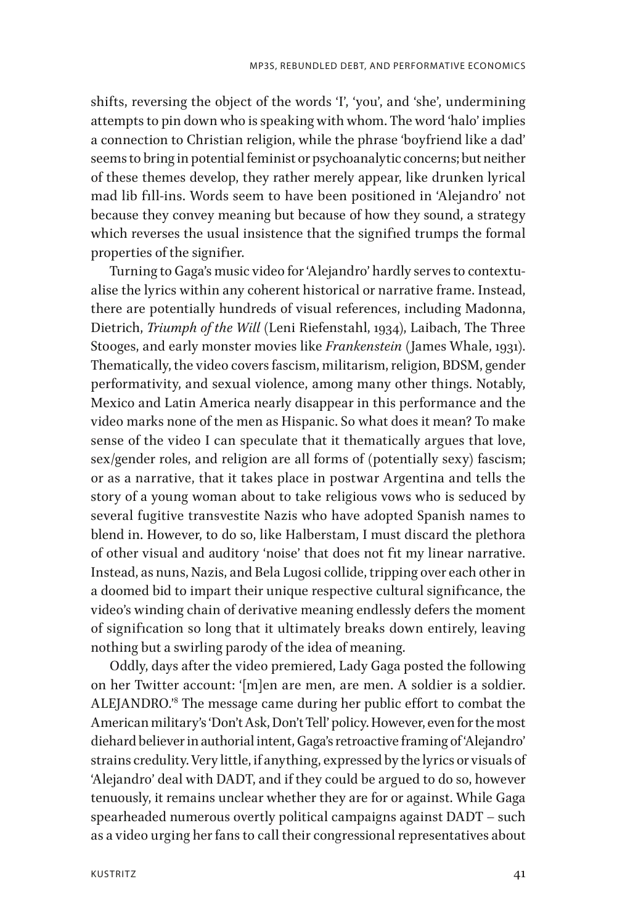shifts, reversing the object of the words 'I', 'you', and 'she', undermining attempts to pin down who is speaking with whom. The word 'halo' implies a connection to Christian religion, while the phrase 'boyfriend like a dad' seems to bring in potential feminist or psychoanalytic concerns; but neither of these themes develop, they rather merely appear, like drunken lyrical mad lib fill-ins. Words seem to have been positioned in 'Alejandro' not because they convey meaning but because of how they sound, a strategy which reverses the usual insistence that the signified trumps the formal properties of the signifier.

Turning to Gaga's music video for 'Alejandro' hardly serves to contextualise the lyrics within any coherent historical or narrative frame. Instead, there are potentially hundreds of visual references, including Madonna, Dietrich, *Triumph of the Will* (Leni Riefenstahl, 1934), Laibach, The Three Stooges, and early monster movies like *Frankenstein* (James Whale, 1931). Thematically, the video covers fascism, militarism, religion, BDSM, gender performativity, and sexual violence, among many other things. Notably, Mexico and Latin America nearly disappear in this performance and the video marks none of the men as Hispanic. So what does it mean? To make sense of the video I can speculate that it thematically argues that love, sex/gender roles, and religion are all forms of (potentially sexy) fascism; or as a narrative, that it takes place in postwar Argentina and tells the story of a young woman about to take religious vows who is seduced by several fugitive transvestite Nazis who have adopted Spanish names to blend in. However, to do so, like Halberstam, I must discard the plethora of other visual and auditory 'noise' that does not fit my linear narrative. Instead, as nuns, Nazis, and Bela Lugosi collide, tripping over each other in a doomed bid to impart their unique respective cultural significance, the video's winding chain of derivative meaning endlessly defers the moment of signification so long that it ultimately breaks down entirely, leaving nothing but a swirling parody of the idea of meaning.

Oddly, days after the video premiered, Lady Gaga posted the following on her Twitter account: '[m]en are men, are men. A soldier is a soldier. ALEJANDRO.'8 The message came during her public effort to combat the American military's 'Don't Ask, Don't Tell' policy. However, even for the most diehard believer in authorial intent, Gaga's retroactive framing of 'Alejandro' strains credulity. Very little, if anything, expressed by the lyrics or visuals of 'Alejandro' deal with DADT, and if they could be argued to do so, however tenuously, it remains unclear whether they are for or against. While Gaga spearheaded numerous overtly political campaigns against DADT – such as a video urging her fans to call their congressional representatives about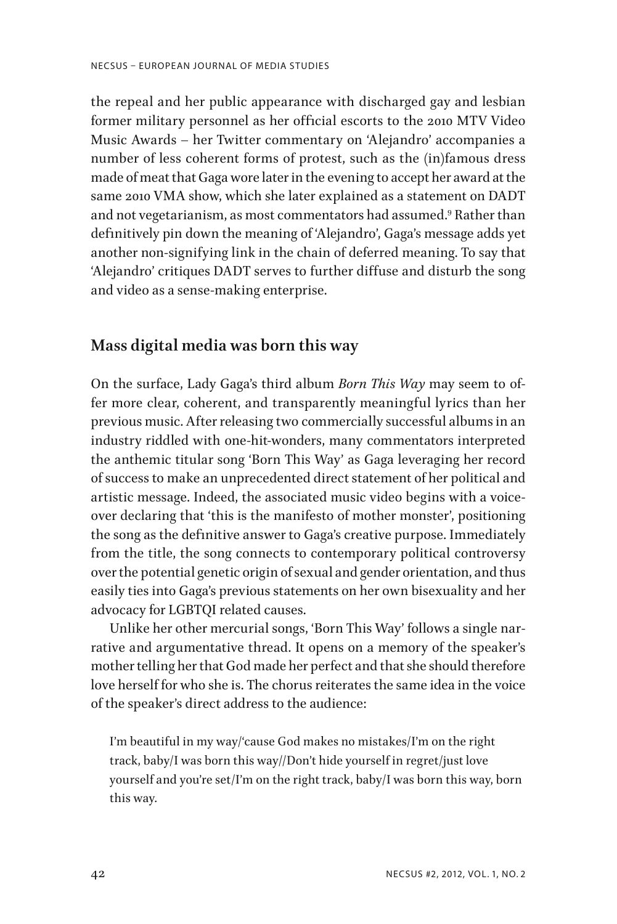the repeal and her public appearance with discharged gay and lesbian former military personnel as her official escorts to the 2010 MTV Video Music Awards – her Twitter commentary on 'Alejandro' accompanies a number of less coherent forms of protest, such as the (in)famous dress made of meat that Gaga wore later in the evening to accept her award at the same 2010 VMA show, which she later explained as a statement on DADT and not vegetarianism, as most commentators had assumed.<sup>9</sup> Rather than definitively pin down the meaning of 'Alejandro', Gaga's message adds yet another non-signifying link in the chain of deferred meaning. To say that 'Alejandro' critiques DADT serves to further diffuse and disturb the song and video as a sense-making enterprise.

#### **Mass digital media was born this way**

On the surface, Lady Gaga's third album *Born This Way* may seem to offer more clear, coherent, and transparently meaningful lyrics than her previous music. After releasing two commercially successful albums in an industry riddled with one-hit-wonders, many commentators interpreted the anthemic titular song 'Born This Way' as Gaga leveraging her record of success to make an unprecedented direct statement of her political and artistic message. Indeed, the associated music video begins with a voiceover declaring that 'this is the manifesto of mother monster', positioning the song as the definitive answer to Gaga's creative purpose. Immediately from the title, the song connects to contemporary political controversy over the potential genetic origin of sexual and gender orientation, and thus easily ties into Gaga's previous statements on her own bisexuality and her advocacy for LGBTQI related causes.

Unlike her other mercurial songs, 'Born This Way' follows a single narrative and argumentative thread. It opens on a memory of the speaker's mother telling her that God made her perfect and that she should therefore love herself for who she is. The chorus reiterates the same idea in the voice of the speaker's direct address to the audience:

I'm beautiful in my way/'cause God makes no mistakes/I'm on the right track, baby/I was born this way//Don't hide yourself in regret/just love yourself and you're set/I'm on the right track, baby/I was born this way, born this way.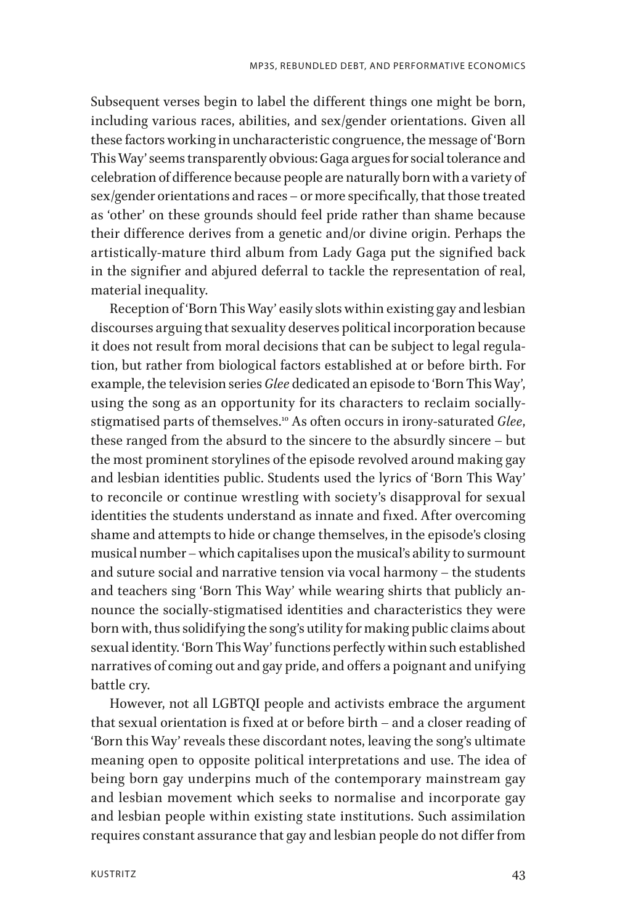Subsequent verses begin to label the different things one might be born, including various races, abilities, and sex/gender orientations. Given all these factors working in uncharacteristic congruence, the message of 'Born This Way' seems transparently obvious: Gaga argues for social tolerance and celebration of difference because people are naturally born with a variety of sex/gender orientations and races – or more specifically, that those treated as 'other' on these grounds should feel pride rather than shame because their difference derives from a genetic and/or divine origin. Perhaps the artistically-mature third album from Lady Gaga put the signified back in the signifier and abjured deferral to tackle the representation of real, material inequality.

Reception of 'Born This Way' easily slots within existing gay and lesbian discourses arguing that sexuality deserves political incorporation because it does not result from moral decisions that can be subject to legal regulation, but rather from biological factors established at or before birth. For example, the television series *Glee* dedicated an episode to 'Born This Way', using the song as an opportunity for its characters to reclaim sociallystigmatised parts of themselves.10 As often occurs in irony-saturated *Glee*, these ranged from the absurd to the sincere to the absurdly sincere – but the most prominent storylines of the episode revolved around making gay and lesbian identities public. Students used the lyrics of 'Born This Way' to reconcile or continue wrestling with society's disapproval for sexual identities the students understand as innate and fixed. After overcoming shame and attempts to hide or change themselves, in the episode's closing musical number – which capitalises upon the musical's ability to surmount and suture social and narrative tension via vocal harmony – the students and teachers sing 'Born This Way' while wearing shirts that publicly announce the socially-stigmatised identities and characteristics they were born with, thus solidifying the song's utility for making public claims about sexual identity. 'Born This Way' functions perfectly within such established narratives of coming out and gay pride, and offers a poignant and unifying battle cry.

However, not all LGBTQI people and activists embrace the argument that sexual orientation is fixed at or before birth – and a closer reading of 'Born this Way' reveals these discordant notes, leaving the song's ultimate meaning open to opposite political interpretations and use. The idea of being born gay underpins much of the contemporary mainstream gay and lesbian movement which seeks to normalise and incorporate gay and lesbian people within existing state institutions. Such assimilation requires constant assurance that gay and lesbian people do not differ from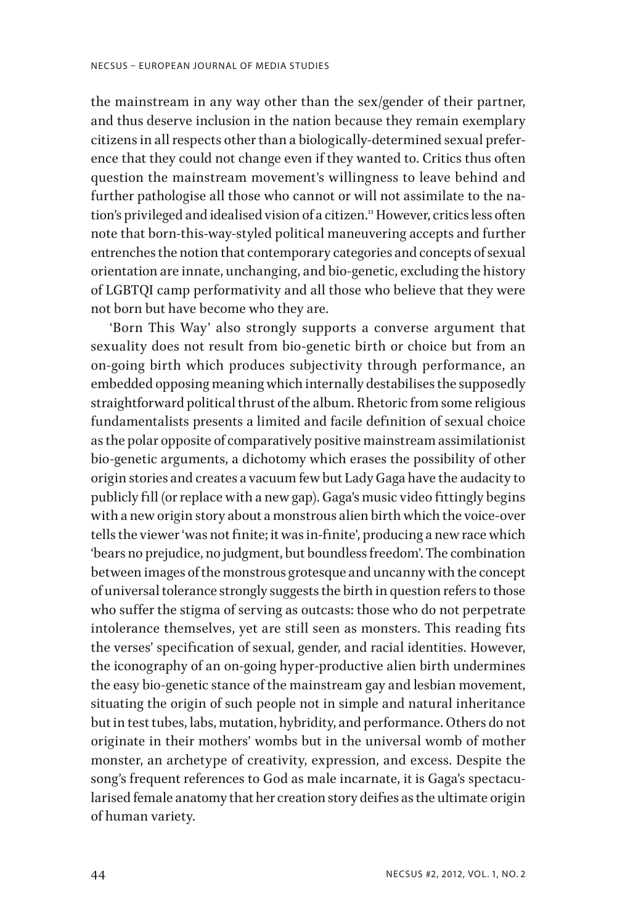the mainstream in any way other than the sex/gender of their partner, and thus deserve inclusion in the nation because they remain exemplary citizens in all respects other than a biologically-determined sexual preference that they could not change even if they wanted to. Critics thus often question the mainstream movement's willingness to leave behind and further pathologise all those who cannot or will not assimilate to the nation's privileged and idealised vision of a citizen.<sup>11</sup> However, critics less often note that born-this-way-styled political maneuvering accepts and further entrenches the notion that contemporary categories and concepts of sexual orientation are innate, unchanging, and bio-genetic, excluding the history of LGBTQI camp performativity and all those who believe that they were not born but have become who they are.

'Born This Way' also strongly supports a converse argument that sexuality does not result from bio-genetic birth or choice but from an on-going birth which produces subjectivity through performance, an embedded opposing meaning which internally destabilises the supposedly straightforward political thrust of the album. Rhetoric from some religious fundamentalists presents a limited and facile definition of sexual choice as the polar opposite of comparatively positive mainstream assimilationist bio-genetic arguments, a dichotomy which erases the possibility of other origin stories and creates a vacuum few but Lady Gaga have the audacity to publicly fill (or replace with a new gap). Gaga's music video fittingly begins with a new origin story about a monstrous alien birth which the voice-over tells the viewer 'was not finite; it was in-finite', producing a new race which 'bears no prejudice, no judgment, but boundless freedom'. The combination between images of the monstrous grotesque and uncanny with the concept of universal tolerance strongly suggests the birth in question refers to those who suffer the stigma of serving as outcasts: those who do not perpetrate intolerance themselves, yet are still seen as monsters. This reading fits the verses' specification of sexual, gender, and racial identities. However, the iconography of an on-going hyper-productive alien birth undermines the easy bio-genetic stance of the mainstream gay and lesbian movement, situating the origin of such people not in simple and natural inheritance but in test tubes, labs, mutation, hybridity, and performance. Others do not originate in their mothers' wombs but in the universal womb of mother monster, an archetype of creativity, expression, and excess. Despite the song's frequent references to God as male incarnate, it is Gaga's spectacularised female anatomy that her creation story deifies as the ultimate origin of human variety.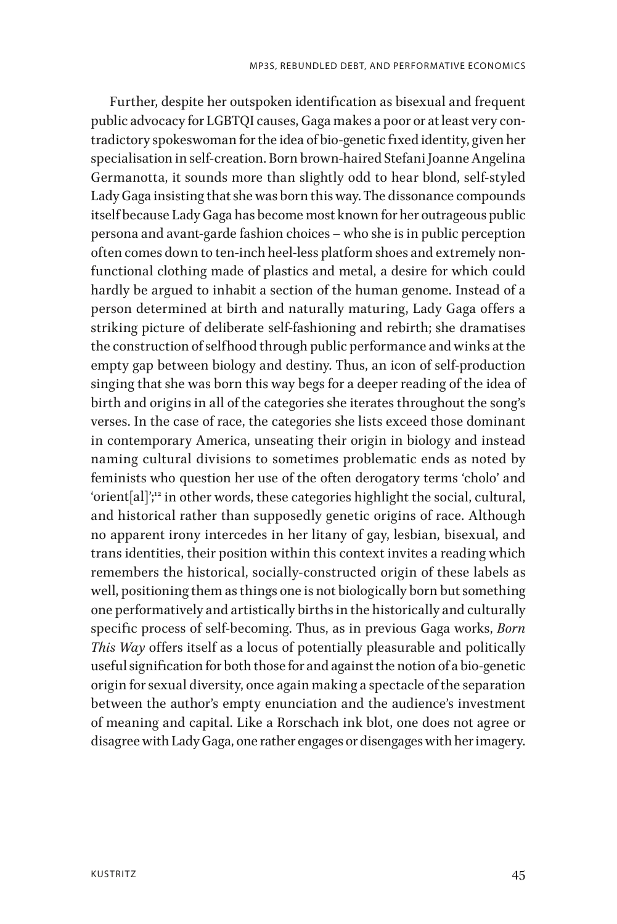Further, despite her outspoken identification as bisexual and frequent public advocacy for LGBTQI causes, Gaga makes a poor or at least very contradictory spokeswoman for the idea of bio-genetic fixed identity, given her specialisation in self-creation. Born brown-haired Stefani Joanne Angelina Germanotta, it sounds more than slightly odd to hear blond, self-styled Lady Gaga insisting that she was born this way. The dissonance compounds itself because Lady Gaga has become most known for her outrageous public persona and avant-garde fashion choices – who she is in public perception often comes down to ten-inch heel-less platform shoes and extremely nonfunctional clothing made of plastics and metal, a desire for which could hardly be argued to inhabit a section of the human genome. Instead of a person determined at birth and naturally maturing, Lady Gaga offers a striking picture of deliberate self-fashioning and rebirth; she dramatises the construction of selfhood through public performance and winks at the empty gap between biology and destiny. Thus, an icon of self-production singing that she was born this way begs for a deeper reading of the idea of birth and origins in all of the categories she iterates throughout the song's verses. In the case of race, the categories she lists exceed those dominant in contemporary America, unseating their origin in biology and instead naming cultural divisions to sometimes problematic ends as noted by feminists who question her use of the often derogatory terms 'cholo' and 'orient[al]';<sup>12</sup> in other words, these categories highlight the social, cultural, and historical rather than supposedly genetic origins of race. Although no apparent irony intercedes in her litany of gay, lesbian, bisexual, and trans identities, their position within this context invites a reading which remembers the historical, socially-constructed origin of these labels as well, positioning them as things one is not biologically born but something one performatively and artistically births in the historically and culturally specific process of self-becoming. Thus, as in previous Gaga works, *Born This Way* offers itself as a locus of potentially pleasurable and politically useful signification for both those for and against the notion of a bio-genetic origin for sexual diversity, once again making a spectacle of the separation between the author's empty enunciation and the audience's investment of meaning and capital. Like a Rorschach ink blot, one does not agree or disagree with Lady Gaga, one rather engages or disengages with her imagery.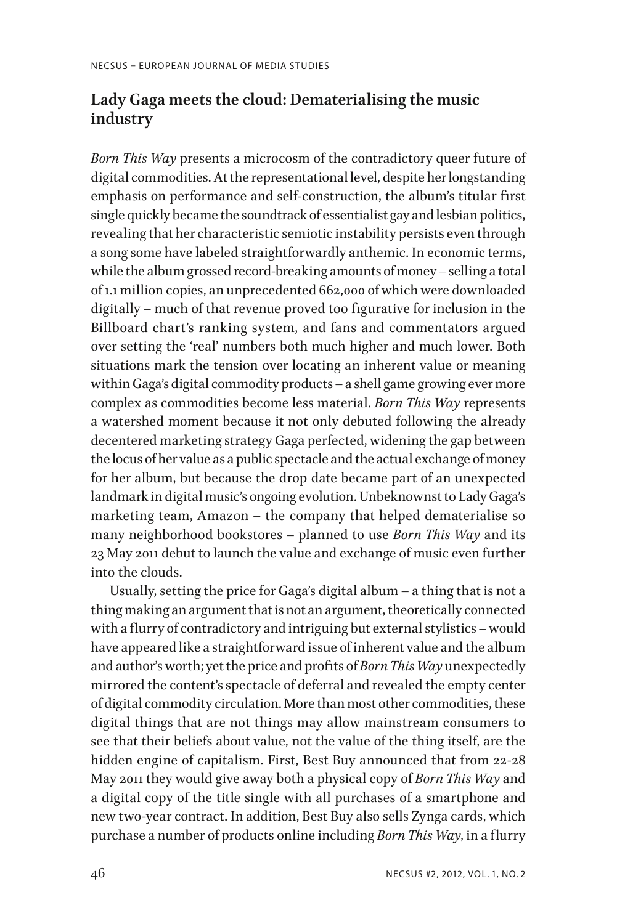# **Lady Gaga meets the cloud: Dematerialising the music industry**

*Born This Way* presents a microcosm of the contradictory queer future of digital commodities. At the representational level, despite her longstanding emphasis on performance and self-construction, the album's titular first single quickly became the soundtrack of essentialist gay and lesbian politics, revealing that her characteristic semiotic instability persists even through a song some have labeled straightforwardly anthemic. In economic terms, while the album grossed record-breaking amounts of money – selling a total of 1.1 million copies, an unprecedented 662,000 of which were downloaded digitally – much of that revenue proved too figurative for inclusion in the Billboard chart's ranking system, and fans and commentators argued over setting the 'real' numbers both much higher and much lower. Both situations mark the tension over locating an inherent value or meaning within Gaga's digital commodity products – a shell game growing ever more complex as commodities become less material. *Born This Way* represents a watershed moment because it not only debuted following the already decentered marketing strategy Gaga perfected, widening the gap between the locus of her value as a public spectacle and the actual exchange of money for her album, but because the drop date became part of an unexpected landmark in digital music's ongoing evolution. Unbeknownst to Lady Gaga's marketing team, Amazon – the company that helped dematerialise so many neighborhood bookstores – planned to use *Born This Way* and its 23 May 2011 debut to launch the value and exchange of music even further into the clouds.

Usually, setting the price for Gaga's digital album – a thing that is not a thing making an argument that is not an argument, theoretically connected with a flurry of contradictory and intriguing but external stylistics – would have appeared like a straightforward issue of inherent value and the album and author's worth; yet the price and profits of *Born This Way* unexpectedly mirrored the content's spectacle of deferral and revealed the empty center of digital commodity circulation. More than most other commodities, these digital things that are not things may allow mainstream consumers to see that their beliefs about value, not the value of the thing itself, are the hidden engine of capitalism. First, Best Buy announced that from 22-28 May 2011 they would give away both a physical copy of *Born This Way* and a digital copy of the title single with all purchases of a smartphone and new two-year contract. In addition, Best Buy also sells Zynga cards, which purchase a number of products online including *Born This Way*, in a flurry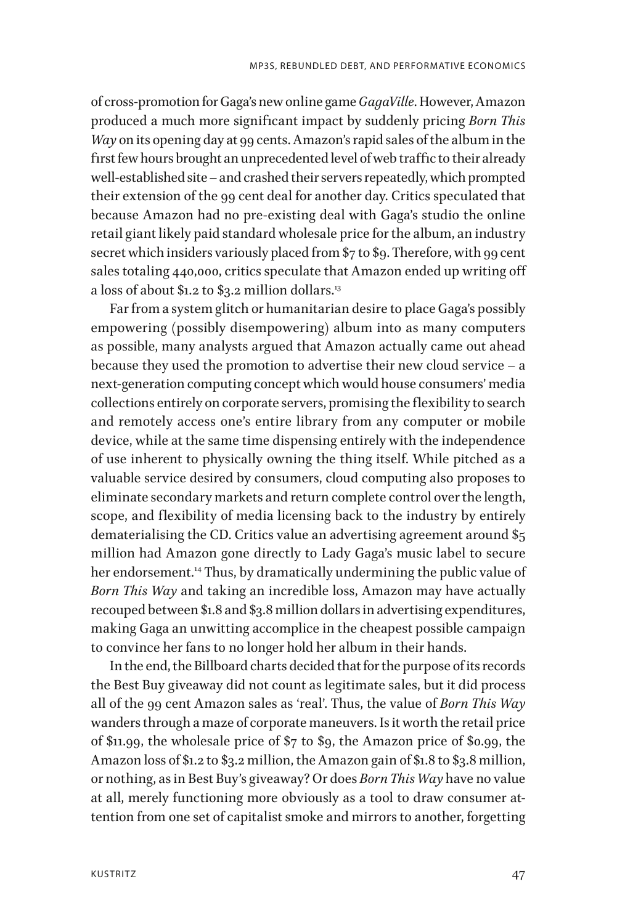of cross-promotion for Gaga's new online game *GagaVille*. However, Amazon produced a much more significant impact by suddenly pricing *Born This Way* on its opening day at 99 cents. Amazon's rapid sales of the album in the first few hours brought an unprecedented level of web traffic to their already well-established site – and crashed their servers repeatedly, which prompted their extension of the 99 cent deal for another day. Critics speculated that because Amazon had no pre-existing deal with Gaga's studio the online retail giant likely paid standard wholesale price for the album, an industry secret which insiders variously placed from \$7 to \$9. Therefore, with 99 cent sales totaling 440,000, critics speculate that Amazon ended up writing off a loss of about \$1.2 to \$3.2 million dollars.<sup>13</sup>

Far from a system glitch or humanitarian desire to place Gaga's possibly empowering (possibly disempowering) album into as many computers as possible, many analysts argued that Amazon actually came out ahead because they used the promotion to advertise their new cloud service – a next-generation computing concept which would house consumers' media collections entirely on corporate servers, promising the flexibility to search and remotely access one's entire library from any computer or mobile device, while at the same time dispensing entirely with the independence of use inherent to physically owning the thing itself. While pitched as a valuable service desired by consumers, cloud computing also proposes to eliminate secondary markets and return complete control over the length, scope, and flexibility of media licensing back to the industry by entirely dematerialising the CD. Critics value an advertising agreement around \$5 million had Amazon gone directly to Lady Gaga's music label to secure her endorsement.<sup>14</sup> Thus, by dramatically undermining the public value of *Born This Way* and taking an incredible loss, Amazon may have actually recouped between \$1.8 and \$3.8 million dollars in advertising expenditures, making Gaga an unwitting accomplice in the cheapest possible campaign to convince her fans to no longer hold her album in their hands.

In the end, the Billboard charts decided that for the purpose of its records the Best Buy giveaway did not count as legitimate sales, but it did process all of the 99 cent Amazon sales as 'real'. Thus, the value of *Born This Way* wanders through a maze of corporate maneuvers. Is it worth the retail price of \$11.99, the wholesale price of \$7 to \$9, the Amazon price of \$0.99, the Amazon loss of \$1.2 to \$3.2 million, the Amazon gain of \$1.8 to \$3.8 million, or nothing, as in Best Buy's giveaway? Or does *Born This Way* have no value at all, merely functioning more obviously as a tool to draw consumer attention from one set of capitalist smoke and mirrors to another, forgetting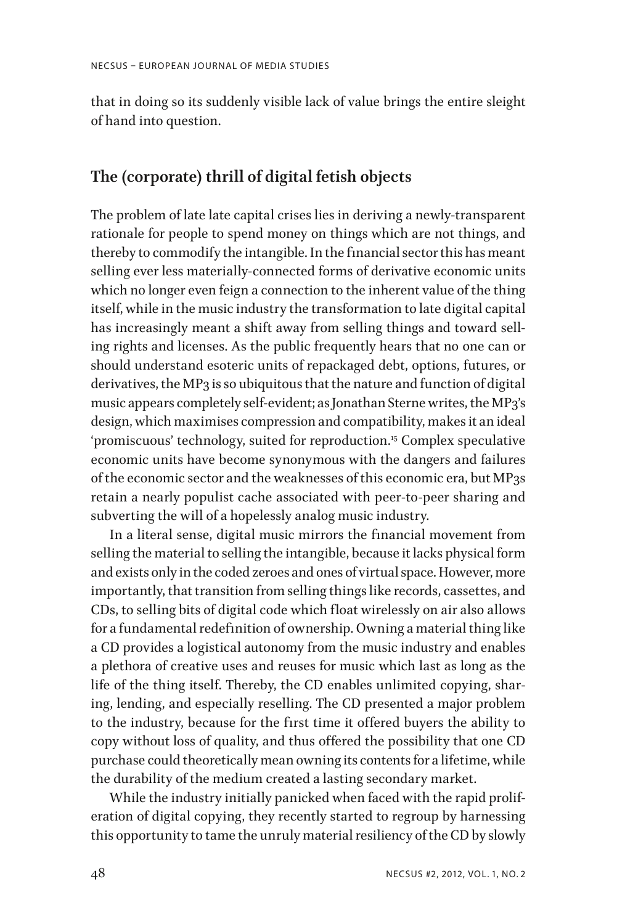that in doing so its suddenly visible lack of value brings the entire sleight of hand into question.

# **The (corporate) thrill of digital fetish objects**

The problem of late late capital crises lies in deriving a newly-transparent rationale for people to spend money on things which are not things, and thereby to commodify the intangible. In the financial sector this has meant selling ever less materially-connected forms of derivative economic units which no longer even feign a connection to the inherent value of the thing itself, while in the music industry the transformation to late digital capital has increasingly meant a shift away from selling things and toward selling rights and licenses. As the public frequently hears that no one can or should understand esoteric units of repackaged debt, options, futures, or derivatives, the MP3 is so ubiquitous that the nature and function of digital music appears completely self-evident; as Jonathan Sterne writes, the MP3's design, which maximises compression and compatibility, makes it an ideal 'promiscuous' technology, suited for reproduction.15 Complex speculative economic units have become synonymous with the dangers and failures of the economic sector and the weaknesses of this economic era, but MP3s retain a nearly populist cache associated with peer-to-peer sharing and subverting the will of a hopelessly analog music industry.

In a literal sense, digital music mirrors the financial movement from selling the material to selling the intangible, because it lacks physical form and exists only in the coded zeroes and ones of virtual space. However, more importantly, that transition from selling things like records, cassettes, and CDs, to selling bits of digital code which float wirelessly on air also allows for a fundamental redefinition of ownership. Owning a material thing like a CD provides a logistical autonomy from the music industry and enables a plethora of creative uses and reuses for music which last as long as the life of the thing itself. Thereby, the CD enables unlimited copying, sharing, lending, and especially reselling. The CD presented a major problem to the industry, because for the first time it offered buyers the ability to copy without loss of quality, and thus offered the possibility that one CD purchase could theoretically mean owning its contents for a lifetime, while the durability of the medium created a lasting secondary market.

While the industry initially panicked when faced with the rapid proliferation of digital copying, they recently started to regroup by harnessing this opportunity to tame the unruly material resiliency of the CD by slowly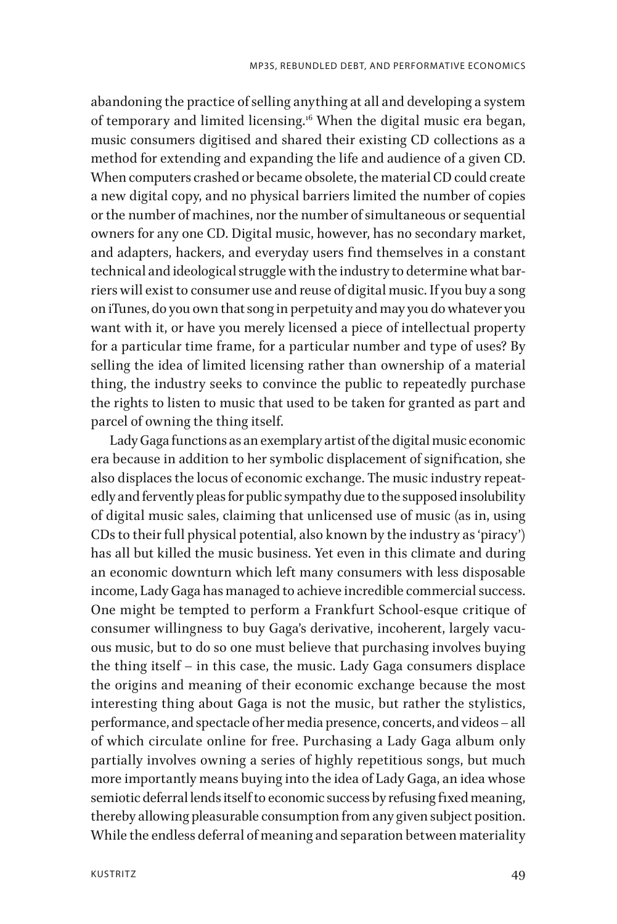abandoning the practice of selling anything at all and developing a system of temporary and limited licensing.<sup>16</sup> When the digital music era began, music consumers digitised and shared their existing CD collections as a method for extending and expanding the life and audience of a given CD. When computers crashed or became obsolete, the material CD could create a new digital copy, and no physical barriers limited the number of copies or the number of machines, nor the number of simultaneous or sequential owners for any one CD. Digital music, however, has no secondary market, and adapters, hackers, and everyday users find themselves in a constant technical and ideological struggle with the industry to determine what barriers will exist to consumer use and reuse of digital music. If you buy a song on iTunes, do you own that song in perpetuity and may you do whatever you want with it, or have you merely licensed a piece of intellectual property for a particular time frame, for a particular number and type of uses? By selling the idea of limited licensing rather than ownership of a material thing, the industry seeks to convince the public to repeatedly purchase the rights to listen to music that used to be taken for granted as part and parcel of owning the thing itself.

Lady Gaga functions as an exemplary artist of the digital music economic era because in addition to her symbolic displacement of signification, she also displaces the locus of economic exchange. The music industry repeatedly and fervently pleas for public sympathy due to the supposed insolubility of digital music sales, claiming that unlicensed use of music (as in, using CDs to their full physical potential, also known by the industry as 'piracy') has all but killed the music business. Yet even in this climate and during an economic downturn which left many consumers with less disposable income, Lady Gaga has managed to achieve incredible commercial success. One might be tempted to perform a Frankfurt School-esque critique of consumer willingness to buy Gaga's derivative, incoherent, largely vacuous music, but to do so one must believe that purchasing involves buying the thing itself – in this case, the music. Lady Gaga consumers displace the origins and meaning of their economic exchange because the most interesting thing about Gaga is not the music, but rather the stylistics, performance, and spectacle of her media presence, concerts, and videos – all of which circulate online for free. Purchasing a Lady Gaga album only partially involves owning a series of highly repetitious songs, but much more importantly means buying into the idea of Lady Gaga, an idea whose semiotic deferral lends itself to economic success by refusing fixed meaning, thereby allowing pleasurable consumption from any given subject position. While the endless deferral of meaning and separation between materiality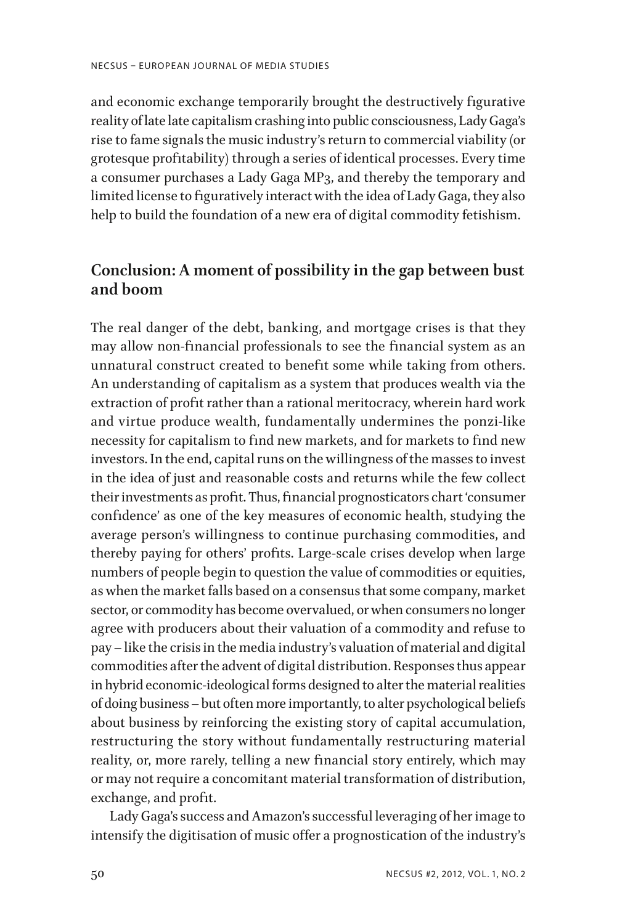and economic exchange temporarily brought the destructively figurative reality of late late capitalism crashing into public consciousness, Lady Gaga's rise to fame signals the music industry's return to commercial viability (or grotesque profitability) through a series of identical processes. Every time a consumer purchases a Lady Gaga MP3, and thereby the temporary and limited license to figuratively interact with the idea of Lady Gaga, they also help to build the foundation of a new era of digital commodity fetishism.

# **Conclusion: A moment of possibility in the gap between bust and boom**

The real danger of the debt, banking, and mortgage crises is that they may allow non-financial professionals to see the financial system as an unnatural construct created to benefit some while taking from others. An understanding of capitalism as a system that produces wealth via the extraction of profit rather than a rational meritocracy, wherein hard work and virtue produce wealth, fundamentally undermines the ponzi-like necessity for capitalism to find new markets, and for markets to find new investors. In the end, capital runs on the willingness of the masses to invest in the idea of just and reasonable costs and returns while the few collect their investments as profit. Thus, financial prognosticators chart 'consumer confidence' as one of the key measures of economic health, studying the average person's willingness to continue purchasing commodities, and thereby paying for others' profits. Large-scale crises develop when large numbers of people begin to question the value of commodities or equities, as when the market falls based on a consensus that some company, market sector, or commodity has become overvalued, or when consumers no longer agree with producers about their valuation of a commodity and refuse to pay – like the crisis in the media industry's valuation of material and digital commodities after the advent of digital distribution. Responses thus appear in hybrid economic-ideological forms designed to alter the material realities of doing business – but often more importantly, to alter psychological beliefs about business by reinforcing the existing story of capital accumulation, restructuring the story without fundamentally restructuring material reality, or, more rarely, telling a new financial story entirely, which may or may not require a concomitant material transformation of distribution, exchange, and profit.

Lady Gaga's success and Amazon's successful leveraging of her image to intensify the digitisation of music offer a prognostication of the industry's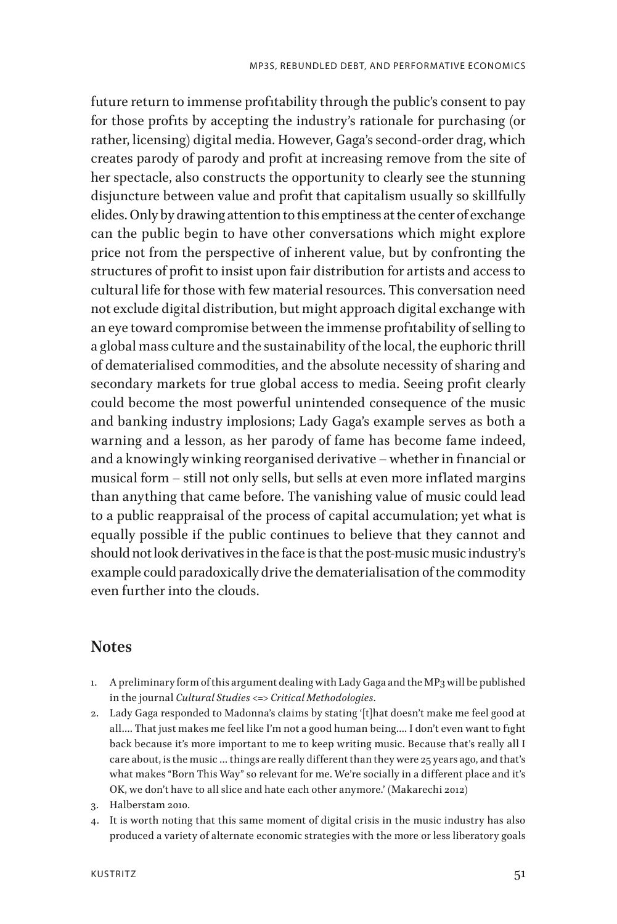future return to immense profitability through the public's consent to pay for those profits by accepting the industry's rationale for purchasing (or rather, licensing) digital media. However, Gaga's second-order drag, which creates parody of parody and profit at increasing remove from the site of her spectacle, also constructs the opportunity to clearly see the stunning disjuncture between value and profit that capitalism usually so skillfully elides. Only by drawing attention to this emptiness at the center of exchange can the public begin to have other conversations which might explore price not from the perspective of inherent value, but by confronting the structures of profit to insist upon fair distribution for artists and access to cultural life for those with few material resources. This conversation need not exclude digital distribution, but might approach digital exchange with an eye toward compromise between the immense profitability of selling to a global mass culture and the sustainability of the local, the euphoric thrill of dematerialised commodities, and the absolute necessity of sharing and secondary markets for true global access to media. Seeing profit clearly could become the most powerful unintended consequence of the music and banking industry implosions; Lady Gaga's example serves as both a warning and a lesson, as her parody of fame has become fame indeed, and a knowingly winking reorganised derivative – whether in financial or musical form – still not only sells, but sells at even more inflated margins than anything that came before. The vanishing value of music could lead to a public reappraisal of the process of capital accumulation; yet what is equally possible if the public continues to believe that they cannot and should not look derivatives in the face is that the post-music music industry's example could paradoxically drive the dematerialisation of the commodity even further into the clouds.

#### **Notes**

- 1. A preliminary form of this argument dealing with Lady Gaga and the MP3 will be published in the journal *Cultural Studies <=> Critical Methodologies*.
- 2. Lady Gaga responded to Madonna's claims by stating '[t]hat doesn't make me feel good at all…. That just makes me feel like I'm not a good human being…. I don't even want to fight back because it's more important to me to keep writing music. Because that's really all I care about, is the music … things are really different than they were 25 years ago, and that's what makes "Born This Way" so relevant for me. We're socially in a different place and it's OK, we don't have to all slice and hate each other anymore.' (Makarechi 2012)
- 3. Halberstam 2010.
- 4. It is worth noting that this same moment of digital crisis in the music industry has also produced a variety of alternate economic strategies with the more or less liberatory goals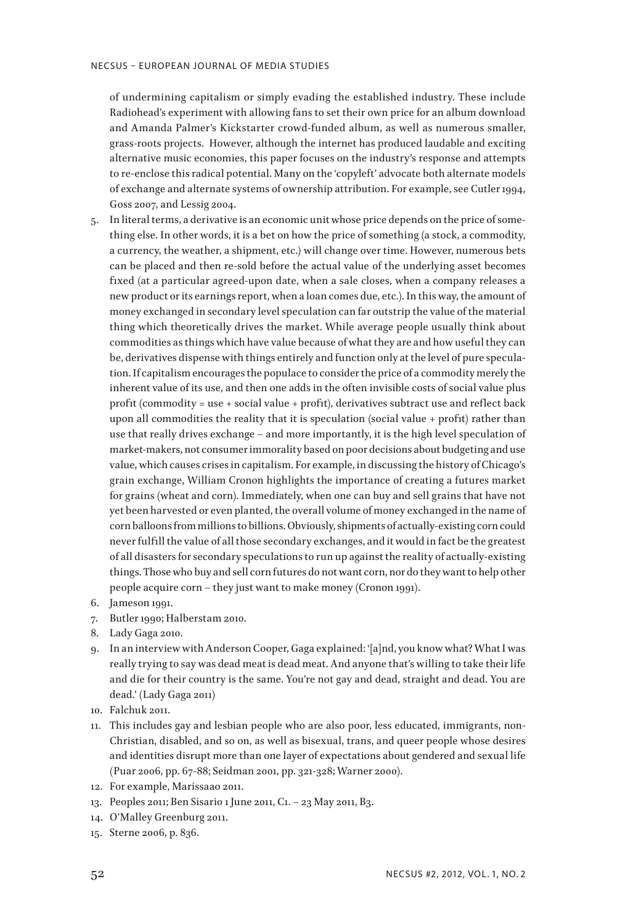of undermining capitalism or simply evading the established industry. These include Radiohead's experiment with allowing fans to set their own price for an album download and Amanda Palmer's Kickstarter crowd-funded album, as well as numerous smaller, grass-roots projects. However, although the internet has produced laudable and exciting alternative music economies, this paper focuses on the industry's response and attempts to re-enclose this radical potential. Many on the 'copyleft' advocate both alternate models of exchange and alternate systems of ownership attribution. For example, see Cutler 1994, Goss 2007, and Lessig 2004.

- 5. In literal terms, a derivative is an economic unit whose price depends on the price of something else. In other words, it is a bet on how the price of something (a stock, a commodity, a currency, the weather, a shipment, etc.) will change over time. However, numerous bets can be placed and then re-sold before the actual value of the underlying asset becomes fixed (at a particular agreed-upon date, when a sale closes, when a company releases a new product or its earnings report, when a loan comes due, etc.). In this way, the amount of money exchanged in secondary level speculation can far outstrip the value of the material thing which theoretically drives the market. While average people usually think about commodities as things which have value because of what they are and how useful they can be, derivatives dispense with things entirely and function only at the level of pure speculation. If capitalism encourages the populace to consider the price of a commodity merely the inherent value of its use, and then one adds in the often invisible costs of social value plus profit (commodity = use + social value + profit), derivatives subtract use and reflect back upon all commodities the reality that it is speculation (social value + profit) rather than use that really drives exchange – and more importantly, it is the high level speculation of market-makers, not consumer immorality based on poor decisions about budgeting and use value, which causes crises in capitalism. For example, in discussing the history of Chicago's grain exchange, William Cronon highlights the importance of creating a futures market for grains (wheat and corn). Immediately, when one can buy and sell grains that have not yet been harvested or even planted, the overall volume of money exchanged in the name of corn balloons from millions to billions. Obviously, shipments of actually-existing corn could never fulfill the value of all those secondary exchanges, and it would in fact be the greatest of all disasters for secondary speculations to run up against the reality of actually-existing things. Those who buy and sell corn futures do not want corn, nor do they want to help other people acquire corn – they just want to make money (Cronon 1991).
- 6. Jameson 1991.
- 7. Butler 1990; Halberstam 2010.
- 8. Lady Gaga 2010.
- 9. In an interview with Anderson Cooper, Gaga explained: '[a]nd, you know what? What I was really trying to say was dead meat is dead meat. And anyone that's willing to take their life and die for their country is the same. You're not gay and dead, straight and dead. You are dead.' (Lady Gaga 2011)
- 10. Falchuk 2011.
- 11. This includes gay and lesbian people who are also poor, less educated, immigrants, non-Christian, disabled, and so on, as well as bisexual, trans, and queer people whose desires and identities disrupt more than one layer of expectations about gendered and sexual life (Puar 2006, pp. 67-88; Seidman 2001, pp. 321-328; Warner 2000).
- 12. For example, Marissaao 2011.
- 13. Peoples 2011; Ben Sisario 1 June 2011, C1. 23 May 2011, B3.
- 14. O'Malley Greenburg 2011.
- 15. Sterne 2006, p. 836.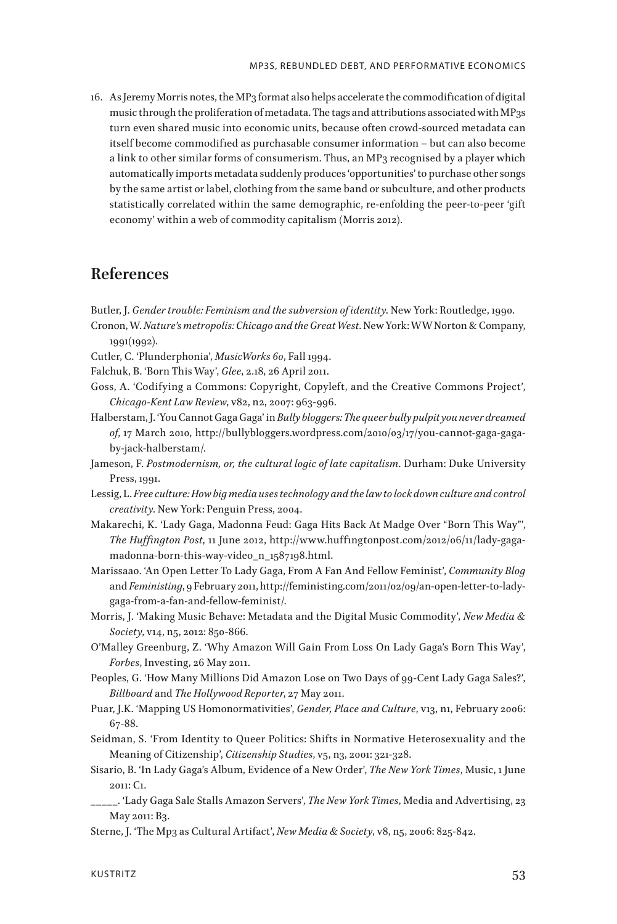16. As Jeremy Morris notes, the MP3 format also helps accelerate the commodification of digital music through the proliferation of metadata. The tags and attributions associated with MP3s turn even shared music into economic units, because often crowd-sourced metadata can itself become commodified as purchasable consumer information – but can also become a link to other similar forms of consumerism. Thus, an MP3 recognised by a player which automatically imports metadata suddenly produces 'opportunities' to purchase other songs by the same artist or label, clothing from the same band or subculture, and other products statistically correlated within the same demographic, re-enfolding the peer-to-peer 'gift economy' within a web of commodity capitalism (Morris 2012).

### **References**

Butler, J. *Gender trouble: Feminism and the subversion of identity*. New York: Routledge, 1990.

- Cronon, W. *Nature's metropolis: Chicago and the Great West*. New York: WW Norton & Company, 1991(1992).
- Cutler, C. 'Plunderphonia', *MusicWorks 60*, Fall 1994.
- Falchuk, B. 'Born This Way', *Glee*, 2.18, 26 April 2011.
- Goss, A. 'Codifying a Commons: Copyright, Copyleft, and the Creative Commons Project', *Chicago-Kent Law Review*, v82, n2, 2007: 963-996.
- Halberstam, J. 'You Cannot Gaga Gaga' in *Bully bloggers: The queer bully pulpit you never dreamed of*, 17 March 2010, http://bullybloggers.wordpress.com/2010/03/17/you-cannot-gaga-gagaby-jack-halberstam/.
- Jameson, F. *Postmodernism, or, the cultural logic of late capitalism*. Durham: Duke University Press, 1991.
- Lessig, L. *Free culture: How big media uses technology and the law to lock down culture and control creativity*. New York: Penguin Press, 2004.
- Makarechi, K. 'Lady Gaga, Madonna Feud: Gaga Hits Back At Madge Over "Born This Way"', *The Huffington Post*, 11 June 2012, http://www.huffingtonpost.com/2012/06/11/lady-gagamadonna-born-this-way-video\_n\_1587198.html.
- Marissaao. 'An Open Letter To Lady Gaga, From A Fan And Fellow Feminist', *Community Blog* and *Feministing*, 9 February 2011, http://feministing.com/2011/02/09/an-open-letter-to-ladygaga-from-a-fan-and-fellow-feminist/.
- Morris, J. 'Making Music Behave: Metadata and the Digital Music Commodity', *New Media & Society*, v14, n5, 2012: 850-866.
- O'Malley Greenburg, Z. 'Why Amazon Will Gain From Loss On Lady Gaga's Born This Way', *Forbes*, Investing, 26 May 2011.
- Peoples, G. 'How Many Millions Did Amazon Lose on Two Days of 99-Cent Lady Gaga Sales?', *Billboard* and *The Hollywood Reporter*, 27 May 2011.
- Puar, J.K. 'Mapping US Homonormativities', *Gender, Place and Culture*, v13, n1, February 2006: 67-88.
- Seidman, S. 'From Identity to Queer Politics: Shifts in Normative Heterosexuality and the Meaning of Citizenship', *Citizenship Studies*, v5, n3, 2001: 321-328.
- Sisario, B. 'In Lady Gaga's Album, Evidence of a New Order', *The New York Times*, Music, 1 June 2011: C1.
- \_\_\_\_\_. 'Lady Gaga Sale Stalls Amazon Servers', *The New York Times*, Media and Advertising, 23 May 2011: B3.

Sterne, J. 'The Mp3 as Cultural Artifact', *New Media & Society*, v8, n5, 2006: 825-842.